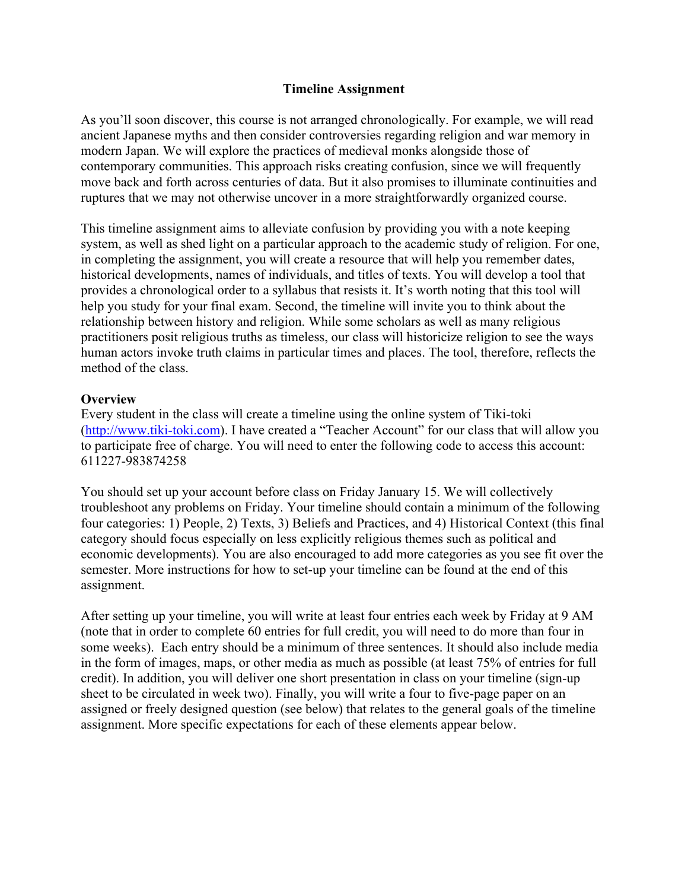#### **Timeline Assignment**

As you'll soon discover, this course is not arranged chronologically. For example, we will read ancient Japanese myths and then consider controversies regarding religion and war memory in modern Japan. We will explore the practices of medieval monks alongside those of contemporary communities. This approach risks creating confusion, since we will frequently move back and forth across centuries of data. But it also promises to illuminate continuities and ruptures that we may not otherwise uncover in a more straightforwardly organized course.

This timeline assignment aims to alleviate confusion by providing you with a note keeping system, as well as shed light on a particular approach to the academic study of religion. For one, in completing the assignment, you will create a resource that will help you remember dates, historical developments, names of individuals, and titles of texts. You will develop a tool that provides a chronological order to a syllabus that resists it. It's worth noting that this tool will help you study for your final exam. Second, the timeline will invite you to think about the relationship between history and religion. While some scholars as well as many religious practitioners posit religious truths as timeless, our class will historicize religion to see the ways human actors invoke truth claims in particular times and places. The tool, therefore, reflects the method of the class.

#### **Overview**

Every student in the class will create a timeline using the online system of Tiki-toki (http://www.tiki-toki.com). I have created a "Teacher Account" for our class that will allow you to participate free of charge. You will need to enter the following code to access this account: 611227-983874258

You should set up your account before class on Friday January 15. We will collectively troubleshoot any problems on Friday. Your timeline should contain a minimum of the following four categories: 1) People, 2) Texts, 3) Beliefs and Practices, and 4) Historical Context (this final category should focus especially on less explicitly religious themes such as political and economic developments). You are also encouraged to add more categories as you see fit over the semester. More instructions for how to set-up your timeline can be found at the end of this assignment.

After setting up your timeline, you will write at least four entries each week by Friday at 9 AM (note that in order to complete 60 entries for full credit, you will need to do more than four in some weeks). Each entry should be a minimum of three sentences. It should also include media in the form of images, maps, or other media as much as possible (at least 75% of entries for full credit). In addition, you will deliver one short presentation in class on your timeline (sign-up sheet to be circulated in week two). Finally, you will write a four to five-page paper on an assigned or freely designed question (see below) that relates to the general goals of the timeline assignment. More specific expectations for each of these elements appear below.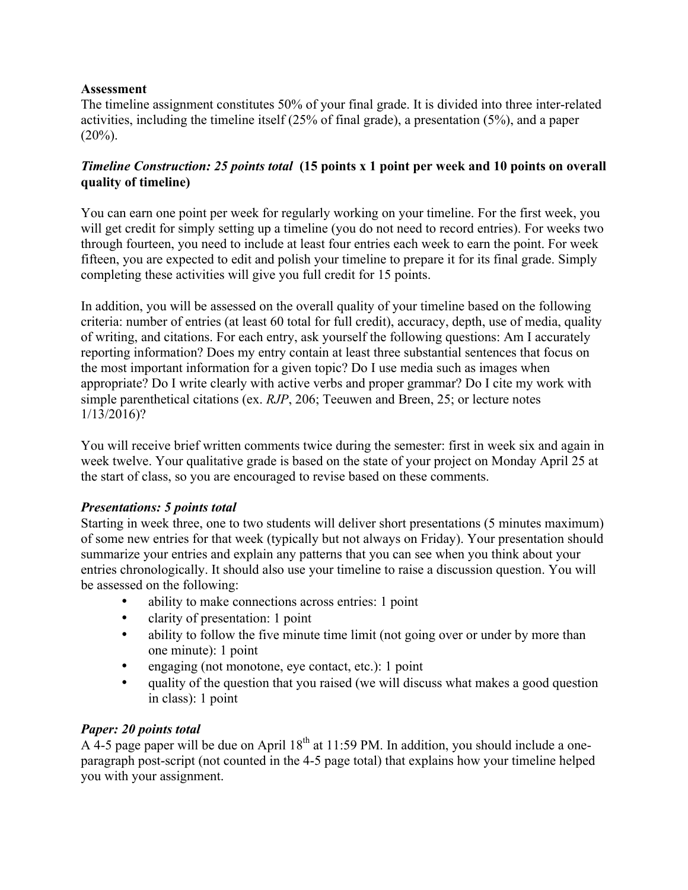# **Assessment**

The timeline assignment constitutes 50% of your final grade. It is divided into three inter-related activities, including the timeline itself (25% of final grade), a presentation (5%), and a paper  $(20\%)$ .

# *Timeline Construction: 25 points total* **(15 points x 1 point per week and 10 points on overall quality of timeline)**

You can earn one point per week for regularly working on your timeline. For the first week, you will get credit for simply setting up a timeline (you do not need to record entries). For weeks two through fourteen, you need to include at least four entries each week to earn the point. For week fifteen, you are expected to edit and polish your timeline to prepare it for its final grade. Simply completing these activities will give you full credit for 15 points.

In addition, you will be assessed on the overall quality of your timeline based on the following criteria: number of entries (at least 60 total for full credit), accuracy, depth, use of media, quality of writing, and citations. For each entry, ask yourself the following questions: Am I accurately reporting information? Does my entry contain at least three substantial sentences that focus on the most important information for a given topic? Do I use media such as images when appropriate? Do I write clearly with active verbs and proper grammar? Do I cite my work with simple parenthetical citations (ex. *RJP*, 206; Teeuwen and Breen, 25; or lecture notes 1/13/2016)?

You will receive brief written comments twice during the semester: first in week six and again in week twelve. Your qualitative grade is based on the state of your project on Monday April 25 at the start of class, so you are encouraged to revise based on these comments.

# *Presentations: 5 points total*

Starting in week three, one to two students will deliver short presentations (5 minutes maximum) of some new entries for that week (typically but not always on Friday). Your presentation should summarize your entries and explain any patterns that you can see when you think about your entries chronologically. It should also use your timeline to raise a discussion question. You will be assessed on the following:

- ability to make connections across entries: 1 point
- clarity of presentation: 1 point
- ability to follow the five minute time limit (not going over or under by more than one minute): 1 point
- engaging (not monotone, eye contact, etc.): 1 point
- quality of the question that you raised (we will discuss what makes a good question in class): 1 point

# *Paper: 20 points total*

A 4-5 page paper will be due on April  $18^{th}$  at 11:59 PM. In addition, you should include a oneparagraph post-script (not counted in the 4-5 page total) that explains how your timeline helped you with your assignment.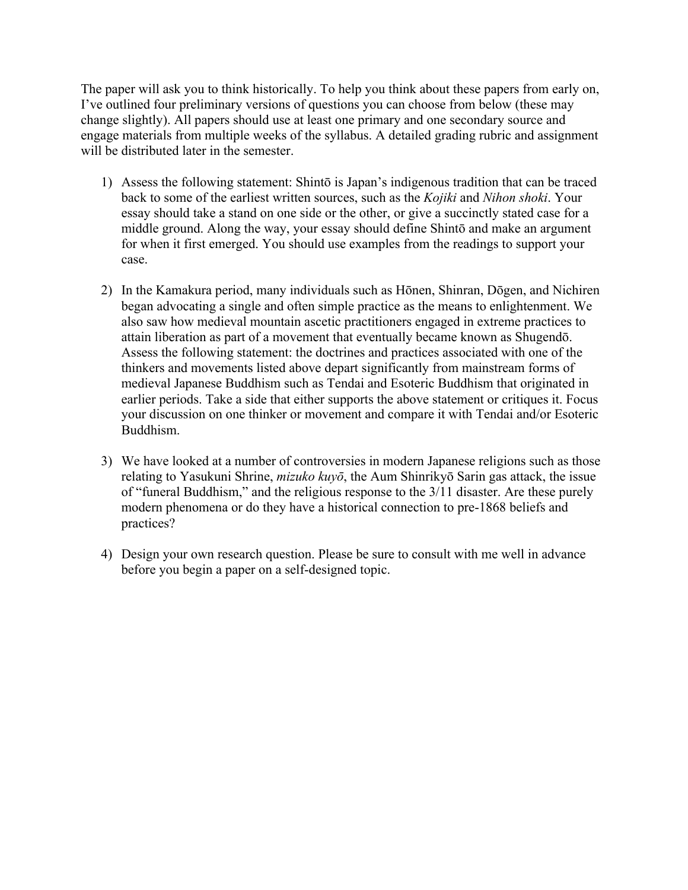The paper will ask you to think historically. To help you think about these papers from early on, I've outlined four preliminary versions of questions you can choose from below (these may change slightly). All papers should use at least one primary and one secondary source and engage materials from multiple weeks of the syllabus. A detailed grading rubric and assignment will be distributed later in the semester.

- 1) Assess the following statement: Shintō is Japan's indigenous tradition that can be traced back to some of the earliest written sources, such as the *Kojiki* and *Nihon shoki*. Your essay should take a stand on one side or the other, or give a succinctly stated case for a middle ground. Along the way, your essay should define Shintō and make an argument for when it first emerged. You should use examples from the readings to support your case.
- 2) In the Kamakura period, many individuals such as Hōnen, Shinran, Dōgen, and Nichiren began advocating a single and often simple practice as the means to enlightenment. We also saw how medieval mountain ascetic practitioners engaged in extreme practices to attain liberation as part of a movement that eventually became known as Shugendō. Assess the following statement: the doctrines and practices associated with one of the thinkers and movements listed above depart significantly from mainstream forms of medieval Japanese Buddhism such as Tendai and Esoteric Buddhism that originated in earlier periods. Take a side that either supports the above statement or critiques it. Focus your discussion on one thinker or movement and compare it with Tendai and/or Esoteric Buddhism.
- 3) We have looked at a number of controversies in modern Japanese religions such as those relating to Yasukuni Shrine, *mizuko kuyō*, the Aum Shinrikyō Sarin gas attack, the issue of "funeral Buddhism," and the religious response to the 3/11 disaster. Are these purely modern phenomena or do they have a historical connection to pre-1868 beliefs and practices?
- 4) Design your own research question. Please be sure to consult with me well in advance before you begin a paper on a self-designed topic.